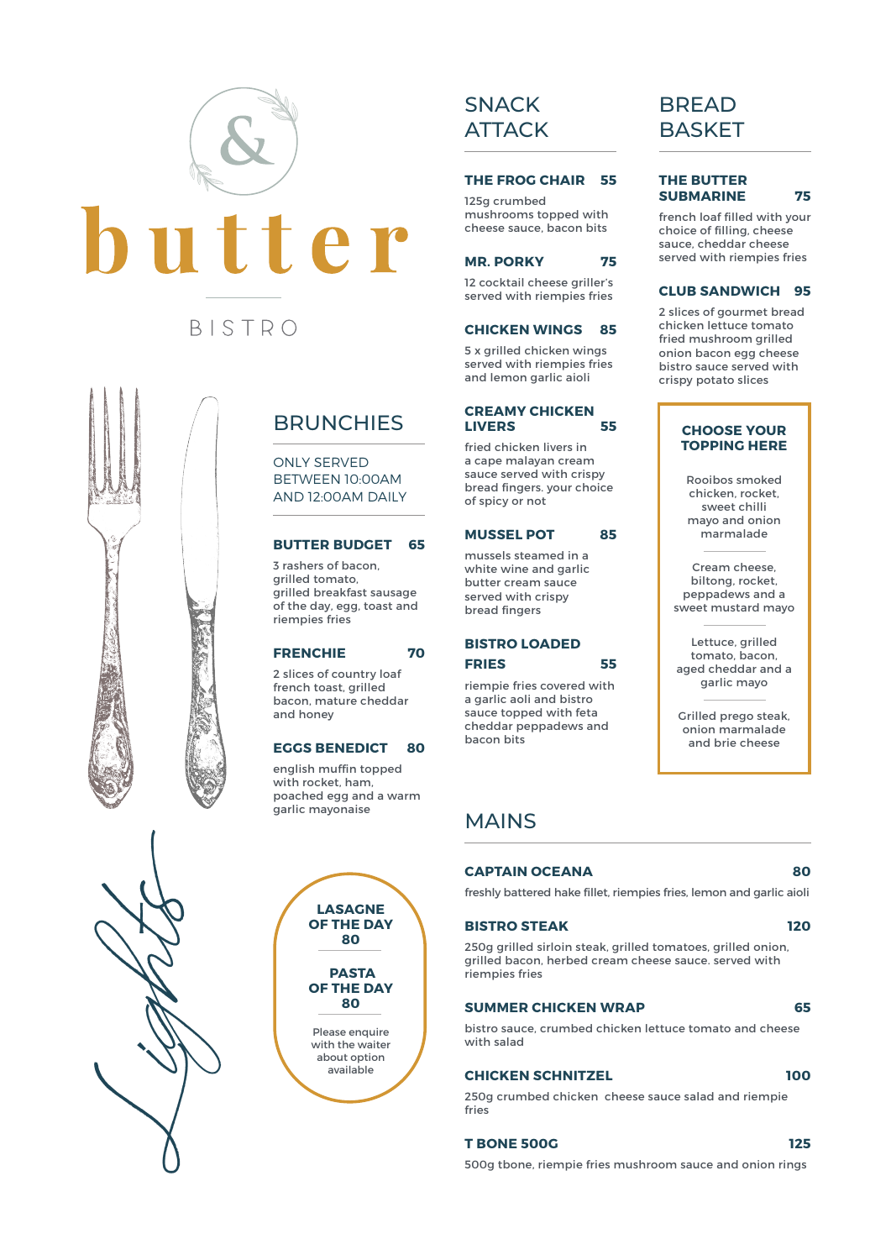

# **BRUNCHIES**

ONLY SERVED BETWEEN 10:00AM AND 12:00AM DAILY

### **BUTTER BUDGET 65**

3 rashers of bacon, grilled tomato, grilled breakfast sausage of the day, egg, toast and riempies fries

### **FRENCHIE 70**

2 slices of country loaf french toast, grilled bacon, mature cheddar and honey

#### **EGGS BENEDICT 80**

english muffin topped with rocket, ham. poached egg and a warm garlic mayonaise





# **SNACK ATTACK**

#### **THE FROG CHAIR 55**

125g crumbed mushrooms topped with cheese sauce, bacon bits

#### **MR. PORKY 75**

12 cocktail cheese griller's served with riempies fries

#### **CHICKEN WINGS 85**

5 x grilled chicken wings served with riempies fries and lemon garlic aioli

### **CREAMY CHICKEN LIVERS 55**

fried chicken livers in a cape malayan cream sauce served with crispy bread fingers. your choice of spicy or not

### **MUSSEL POT 85**

mussels steamed in a white wine and garlic butter cream sauce served with crispy bread fingers

# **BISTRO LOADED FRIES 55**

riempie fries covered with a garlic aoli and bistro sauce topped with feta cheddar peppadews and bacon bits

# MAINS

#### **CAPTAIN OCEANA 80**

freshly battered hake fillet, riempies fries, lemon and garlic aioli

#### **BISTRO STEAK 120**

250g grilled sirloin steak, grilled tomatoes, grilled onion, grilled bacon, herbed cream cheese sauce. served with riempies fries

## **SUMMER CHICKEN WRAP 65**

bistro sauce, crumbed chicken lettuce tomato and cheese with salad

### **CHICKEN SCHNITZEL 100**

#### 250g crumbed chicken cheese sauce salad and riempie fries

#### **T BONE 500G 125**

# BREAD **BASKET**

#### **THE BUTTER SUBMARINE 75**

french loaf filled with your choice of filling, cheese sauce, cheddar cheese served with riempies fries

#### **CLUB SANDWICH 95**

2 slices of gourmet bread chicken lettuce tomato fried mushroom grilled onion bacon egg cheese bistro sauce served with crispy potato slices

### **CHOOSE YOUR TOPPING HERE**

Rooibos smoked chicken, rocket, sweet chilli mayo and onion marmalade

Cream cheese, biltong, rocket, peppadews and a sweet mustard mayo

Lettuce, grilled tomato, bacon, aged cheddar and a garlic mayo

Grilled prego steak, onion marmalade and brie cheese

500g tbone, riempie fries mushroom sauce and onion rings